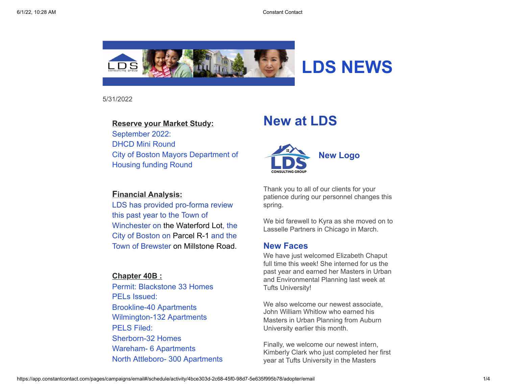

5/31/2022

#### **Reserve your Market Study:**

September 2022: DHCD Mini Round City of Boston Mayors Department of Housing funding Round

#### **Financial Analysis:**

LDS has provided pro-forma review this past year to the Town of Winchester on the Waterford Lot, the City of Boston on Parcel R-1 and the Town of Brewster on Millstone Road.

#### **Chapter 40B :**

Permit: Blackstone 33 Homes PELs Issued: Brookline-40 Apartments Wilmington-132 Apartments PELS Filed: Sherborn-32 Homes Wareham- 6 Apartments North Attleboro- 300 Apartments

# **New at LDS**



Thank you to all of our clients for your patience during our personnel changes this spring.

We bid farewell to Kyra as she moved on to Lasselle Partners in Chicago in March.

### **New Faces**

We have just welcomed Elizabeth Chaput full time this week! She interned for us the past year and earned her Masters in Urban and Environmental Planning last week at Tufts University!

We also welcome our newest associate, John William Whitlow who earned his Masters in Urban Planning from Auburn University earlier this month.

Finally, we welcome our newest intern, Kimberly Clark who just completed her first year at Tufts University in the Masters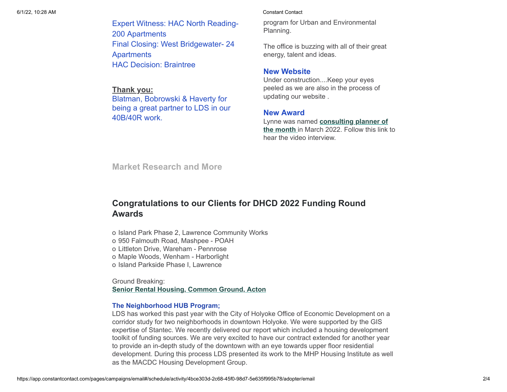Expert Witness: HAC North Reading-200 Apartments Final Closing: West Bridgewater- 24 Apartments HAC Decision: Braintree

**Thank you:**

Blatman, Bobrowski & Haverty for being a great partner to LDS in our 40B/40R work.

#### 6/1/22, 10:28 AM Constant Contact

program for Urban and Environmental Planning.

The office is buzzing with all of their great energy, talent and ideas.

#### **New Website**

Under construction....Keep your eyes peeled as we are also in the process of updating our website .

#### **New Award**

Lynne was named **consulting planner of the month** [in March 2022. Follow this link](https://consultingplanners.org/news/12671470) to hear the video interview.

**Market Research and More**

### **Congratulations to our Clients for DHCD 2022 Funding Round Awards**

o Island Park Phase 2, Lawrence Community Works o 950 Falmouth Road, Mashpee - POAH o Littleton Drive, Wareham - Pennrose o Maple Woods, Wenham - Harborlight o Island Parkside Phase I, Lawrence

Ground Breaking: **[Senior Rental Housing, Common Ground, Acton](https://www.apnnews.com/peabody-properties-and-common-ground-development-corporation-announce-ground-breaking-of-tavernier-place-and-celebration-of-affordable-housing-advocate-nancy-tavernier/)**

#### **The Neighborhood HUB Program;**

LDS has worked this past year with the City of Holyoke Office of Economic Development on a corridor study for two neighborhoods in downtown Holyoke. We were supported by the GIS expertise of Stantec. We recently delivered our report which included a housing development toolkit of funding sources. We are very excited to have our contract extended for another year to provide an in-depth study of the downtown with an eye towards upper floor residential development. During this process LDS presented its work to the MHP Housing Institute as well as the MACDC Housing Development Group.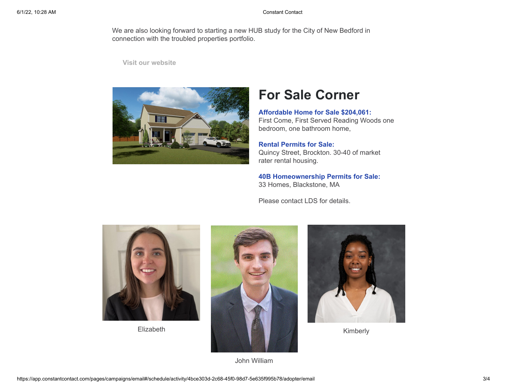6/1/22, 10:28 AM Constant Contact

We are also looking forward to starting a new HUB study for the City of New Bedford in connection with the troubled properties portfolio.

**[Visit our website](http://www.ldsconsultinggroup.com/)**



## **For Sale Corner**

**Affordable Home for Sale \$204,061:** First Come, First Served Reading Woods one bedroom, one bathroom home,

**Rental Permits for Sale:** Quincy Street, Brockton. 30-40 of market rater rental housing.

**40B Homeownership Permits for Sale:** 33 Homes, Blackstone, MA

Please contact LDS for details.



Elizabeth





Kimberly

John William